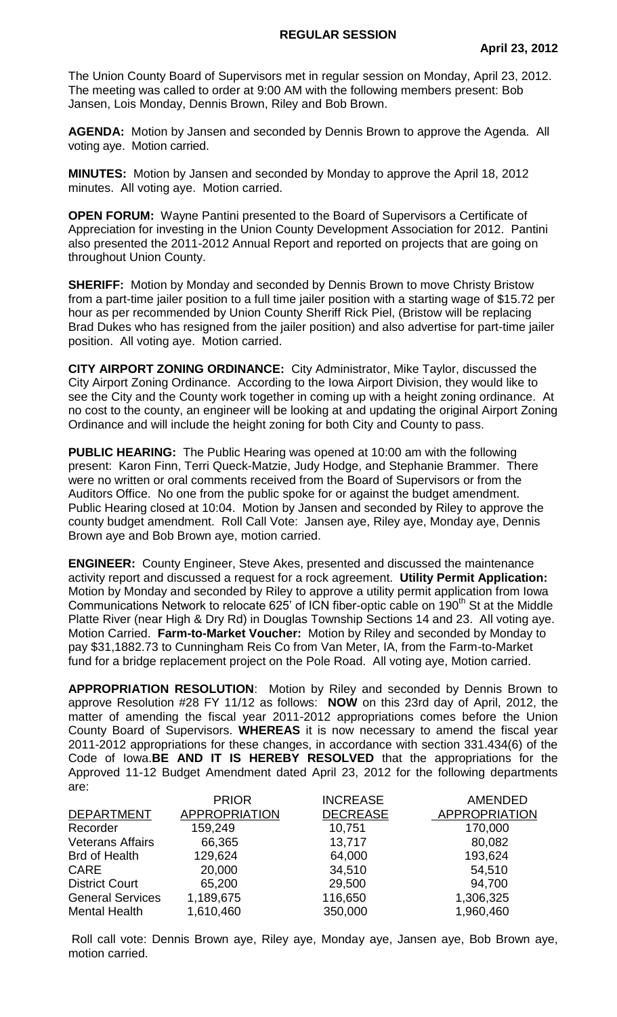The Union County Board of Supervisors met in regular session on Monday, April 23, 2012. The meeting was called to order at 9:00 AM with the following members present: Bob Jansen, Lois Monday, Dennis Brown, Riley and Bob Brown.

**AGENDA:** Motion by Jansen and seconded by Dennis Brown to approve the Agenda. All voting aye. Motion carried.

**MINUTES:** Motion by Jansen and seconded by Monday to approve the April 18, 2012 minutes. All voting aye. Motion carried.

**OPEN FORUM:** Wayne Pantini presented to the Board of Supervisors a Certificate of Appreciation for investing in the Union County Development Association for 2012. Pantini also presented the 2011-2012 Annual Report and reported on projects that are going on throughout Union County.

**SHERIFF:** Motion by Monday and seconded by Dennis Brown to move Christy Bristow from a part-time jailer position to a full time jailer position with a starting wage of \$15.72 per hour as per recommended by Union County Sheriff Rick Piel, (Bristow will be replacing Brad Dukes who has resigned from the jailer position) and also advertise for part-time jailer position. All voting aye. Motion carried.

**CITY AIRPORT ZONING ORDINANCE:** City Administrator, Mike Taylor, discussed the City Airport Zoning Ordinance. According to the Iowa Airport Division, they would like to see the City and the County work together in coming up with a height zoning ordinance. At no cost to the county, an engineer will be looking at and updating the original Airport Zoning Ordinance and will include the height zoning for both City and County to pass.

**PUBLIC HEARING:** The Public Hearing was opened at 10:00 am with the following present: Karon Finn, Terri Queck-Matzie, Judy Hodge, and Stephanie Brammer. There were no written or oral comments received from the Board of Supervisors or from the Auditors Office. No one from the public spoke for or against the budget amendment. Public Hearing closed at 10:04. Motion by Jansen and seconded by Riley to approve the county budget amendment. Roll Call Vote: Jansen aye, Riley aye, Monday aye, Dennis Brown aye and Bob Brown aye, motion carried.

**ENGINEER:** County Engineer, Steve Akes, presented and discussed the maintenance activity report and discussed a request for a rock agreement. **Utility Permit Application:**  Motion by Monday and seconded by Riley to approve a utility permit application from Iowa Communications Network to relocate 625' of ICN fiber-optic cable on 190th St at the Middle Platte River (near High & Dry Rd) in Douglas Township Sections 14 and 23. All voting aye. Motion Carried. **Farm-to-Market Voucher:** Motion by Riley and seconded by Monday to pay \$31,1882.73 to Cunningham Reis Co from Van Meter, IA, from the Farm-to-Market fund for a bridge replacement project on the Pole Road. All voting aye, Motion carried.

**APPROPRIATION RESOLUTION**: Motion by Riley and seconded by Dennis Brown to approve Resolution #28 FY 11/12 as follows: **NOW** on this 23rd day of April, 2012, the matter of amending the fiscal year 2011-2012 appropriations comes before the Union County Board of Supervisors. **WHEREAS** it is now necessary to amend the fiscal year 2011-2012 appropriations for these changes, in accordance with section 331.434(6) of the Code of Iowa.**BE AND IT IS HEREBY RESOLVED** that the appropriations for the Approved 11-12 Budget Amendment dated April 23, 2012 for the following departments are:

|                         | <b>PRIOR</b>         | <b>INCREASE</b> | <b>AMENDED</b>       |
|-------------------------|----------------------|-----------------|----------------------|
| <b>DEPARTMENT</b>       | <b>APPROPRIATION</b> | <b>DECREASE</b> | <b>APPROPRIATION</b> |
| Recorder                | 159,249              | 10,751          | 170,000              |
| <b>Veterans Affairs</b> | 66,365               | 13,717          | 80,082               |
| <b>Brd of Health</b>    | 129,624              | 64,000          | 193,624              |
| <b>CARE</b>             | 20,000               | 34,510          | 54,510               |
| <b>District Court</b>   | 65,200               | 29,500          | 94,700               |
| <b>General Services</b> | 1,189,675            | 116,650         | 1,306,325            |
| <b>Mental Health</b>    | 1,610,460            | 350,000         | 1,960,460            |

Roll call vote: Dennis Brown aye, Riley aye, Monday aye, Jansen aye, Bob Brown aye, motion carried.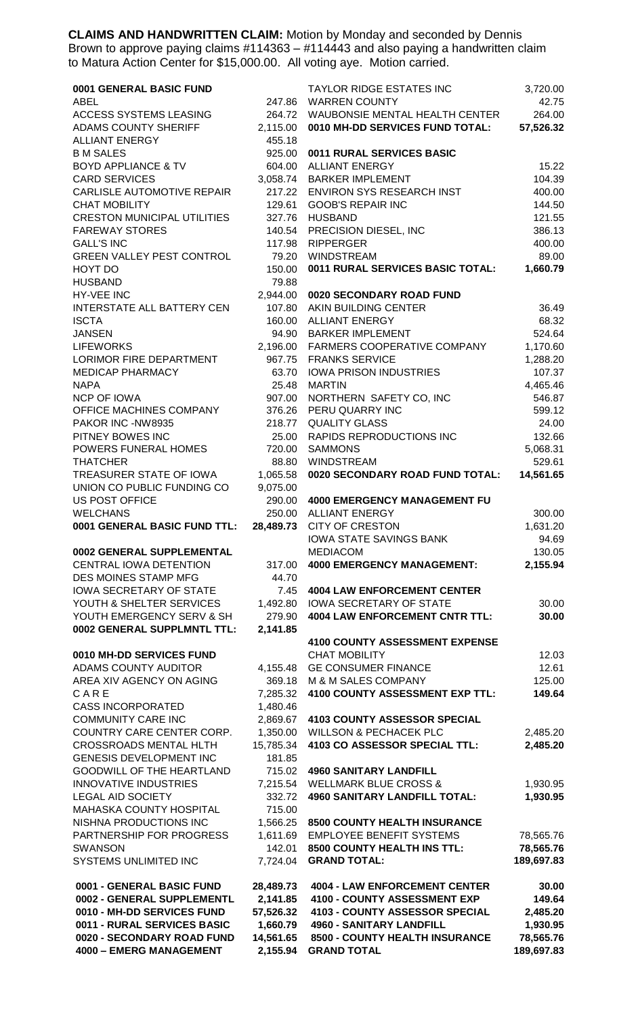**CLAIMS AND HANDWRITTEN CLAIM:** Motion by Monday and seconded by Dennis Brown to approve paying claims #114363 – #114443 and also paying a handwritten claim to Matura Action Center for \$15,000.00. All voting aye. Motion carried.

| 0001 GENERAL BASIC FUND                                   |                       | <b>TAYLOR RIDGE ESTATES INC</b>                                   | 3,720.00               |
|-----------------------------------------------------------|-----------------------|-------------------------------------------------------------------|------------------------|
| ABEL                                                      | 247.86                | <b>WARREN COUNTY</b>                                              | 42.75                  |
| ACCESS SYSTEMS LEASING                                    | 264.72                | WAUBONSIE MENTAL HEALTH CENTER                                    | 264.00                 |
| ADAMS COUNTY SHERIFF<br><b>ALLIANT ENERGY</b>             | 2,115.00<br>455.18    | 0010 MH-DD SERVICES FUND TOTAL:                                   | 57,526.32              |
| <b>B M SALES</b>                                          | 925.00                | 0011 RURAL SERVICES BASIC                                         |                        |
| <b>BOYD APPLIANCE &amp; TV</b>                            | 604.00                | <b>ALLIANT ENERGY</b>                                             | 15.22                  |
| <b>CARD SERVICES</b>                                      | 3,058.74              | <b>BARKER IMPLEMENT</b>                                           | 104.39                 |
| CARLISLE AUTOMOTIVE REPAIR                                | 217.22                | <b>ENVIRON SYS RESEARCH INST</b>                                  | 400.00                 |
| <b>CHAT MOBILITY</b>                                      | 129.61                | <b>GOOB'S REPAIR INC</b>                                          | 144.50                 |
| <b>CRESTON MUNICIPAL UTILITIES</b>                        | 327.76                | <b>HUSBAND</b>                                                    | 121.55                 |
| <b>FAREWAY STORES</b>                                     | 140.54                | PRECISION DIESEL, INC                                             | 386.13                 |
| <b>GALL'S INC</b>                                         | 117.98                | <b>RIPPERGER</b>                                                  | 400.00                 |
| GREEN VALLEY PEST CONTROL                                 | 79.20                 | <b>WINDSTREAM</b><br>0011 RURAL SERVICES BASIC TOTAL:             | 89.00<br>1,660.79      |
| HOYT DO<br><b>HUSBAND</b>                                 | 150.00<br>79.88       |                                                                   |                        |
| HY-VEE INC                                                | 2,944.00              | 0020 SECONDARY ROAD FUND                                          |                        |
| INTERSTATE ALL BATTERY CEN                                |                       | 107.80 AKIN BUILDING CENTER                                       | 36.49                  |
| <b>ISCTA</b>                                              |                       | 160.00 ALLIANT ENERGY                                             | 68.32                  |
| <b>JANSEN</b>                                             | 94.90                 | <b>BARKER IMPLEMENT</b>                                           | 524.64                 |
| <b>LIFEWORKS</b>                                          | 2,196.00              | FARMERS COOPERATIVE COMPANY                                       | 1,170.60               |
| LORIMOR FIRE DEPARTMENT                                   | 967.75                | <b>FRANKS SERVICE</b>                                             | 1,288.20               |
| <b>MEDICAP PHARMACY</b>                                   | 63.70                 | <b>IOWA PRISON INDUSTRIES</b>                                     | 107.37                 |
| <b>NAPA</b>                                               | 25.48                 | <b>MARTIN</b>                                                     | 4,465.46               |
| <b>NCP OF IOWA</b>                                        | 907.00                | NORTHERN SAFETY CO, INC                                           | 546.87                 |
| OFFICE MACHINES COMPANY<br>PAKOR INC -NW8935              | 376.26<br>218.77      | PERU QUARRY INC<br><b>QUALITY GLASS</b>                           | 599.12<br>24.00        |
| PITNEY BOWES INC                                          | 25.00                 | RAPIDS REPRODUCTIONS INC                                          | 132.66                 |
| POWERS FUNERAL HOMES                                      | 720.00                | <b>SAMMONS</b>                                                    | 5,068.31               |
| <b>THATCHER</b>                                           | 88.80                 | <b>WINDSTREAM</b>                                                 | 529.61                 |
| TREASURER STATE OF IOWA                                   | 1,065.58              | 0020 SECONDARY ROAD FUND TOTAL:                                   | 14,561.65              |
| UNION CO PUBLIC FUNDING CO                                | 9,075.00              |                                                                   |                        |
| <b>US POST OFFICE</b>                                     | 290.00                | <b>4000 EMERGENCY MANAGEMENT FU</b>                               |                        |
| <b>WELCHANS</b>                                           |                       | 250.00 ALLIANT ENERGY                                             | 300.00                 |
| 0001 GENERAL BASIC FUND TTL:                              | 28,489.73             | <b>CITY OF CRESTON</b>                                            | 1,631.20               |
| 0002 GENERAL SUPPLEMENTAL                                 |                       | <b>IOWA STATE SAVINGS BANK</b><br><b>MEDIACOM</b>                 | 94.69<br>130.05        |
| CENTRAL IOWA DETENTION                                    | 317.00                | <b>4000 EMERGENCY MANAGEMENT:</b>                                 | 2,155.94               |
| DES MOINES STAMP MFG                                      | 44.70                 |                                                                   |                        |
| <b>IOWA SECRETARY OF STATE</b>                            | 7.45                  | <b>4004 LAW ENFORCEMENT CENTER</b>                                |                        |
| YOUTH & SHELTER SERVICES                                  | 1,492.80              | <b>IOWA SECRETARY OF STATE</b>                                    | 30.00                  |
| YOUTH EMERGENCY SERV & SH                                 | 279.90                | <b>4004 LAW ENFORCEMENT CNTR TTL:</b>                             | 30.00                  |
| 0002 GENERAL SUPPLMNTL TTL:                               | 2,141.85              |                                                                   |                        |
|                                                           |                       | <b>4100 COUNTY ASSESSMENT EXPENSE</b>                             |                        |
| 0010 MH-DD SERVICES FUND                                  |                       |                                                                   |                        |
|                                                           |                       | <b>CHAT MOBILITY</b>                                              | 12.03                  |
| ADAMS COUNTY AUDITOR                                      | 4,155.48              | <b>GE CONSUMER FINANCE</b>                                        | 12.61                  |
| AREA XIV AGENCY ON AGING                                  | 369.18                | M & M SALES COMPANY                                               | 125.00                 |
| CARE                                                      | 7,285.32              | 4100 COUNTY ASSESSMENT EXP TTL:                                   | 149.64                 |
| <b>CASS INCORPORATED</b><br><b>COMMUNITY CARE INC</b>     | 1,480.46<br>2,869.67  | <b>4103 COUNTY ASSESSOR SPECIAL</b>                               |                        |
| COUNTRY CARE CENTER CORP.                                 | 1,350.00              | <b>WILLSON &amp; PECHACEK PLC</b>                                 | 2,485.20               |
| <b>CROSSROADS MENTAL HLTH</b>                             | 15,785.34             | 4103 CO ASSESSOR SPECIAL TTL:                                     | 2,485.20               |
| <b>GENESIS DEVELOPMENT INC</b>                            | 181.85                |                                                                   |                        |
| <b>GOODWILL OF THE HEARTLAND</b>                          | 715.02                | <b>4960 SANITARY LANDFILL</b>                                     |                        |
| <b>INNOVATIVE INDUSTRIES</b>                              | 7,215.54              | <b>WELLMARK BLUE CROSS &amp;</b>                                  | 1,930.95               |
| <b>LEGAL AID SOCIETY</b>                                  | 332.72                | <b>4960 SANITARY LANDFILL TOTAL:</b>                              | 1,930.95               |
| MAHASKA COUNTY HOSPITAL                                   | 715.00                |                                                                   |                        |
| NISHNA PRODUCTIONS INC<br>PARTNERSHIP FOR PROGRESS        | 1,566.25<br>1,611.69  | 8500 COUNTY HEALTH INSURANCE<br><b>EMPLOYEE BENEFIT SYSTEMS</b>   |                        |
| <b>SWANSON</b>                                            | 142.01                | 8500 COUNTY HEALTH INS TTL:                                       | 78,565.76<br>78,565.76 |
| SYSTEMS UNLIMITED INC                                     | 7,724.04              | <b>GRAND TOTAL:</b>                                               | 189,697.83             |
| 0001 - GENERAL BASIC FUND                                 | 28,489.73             | <b>4004 - LAW ENFORCEMENT CENTER</b>                              | 30.00                  |
| 0002 - GENERAL SUPPLEMENTL                                | 2,141.85              | 4100 - COUNTY ASSESSMENT EXP                                      | 149.64                 |
| 0010 - MH-DD SERVICES FUND                                | 57,526.32             | 4103 - COUNTY ASSESSOR SPECIAL                                    | 2,485.20               |
| 0011 - RURAL SERVICES BASIC<br>0020 - SECONDARY ROAD FUND | 1,660.79<br>14,561.65 | <b>4960 - SANITARY LANDFILL</b><br>8500 - COUNTY HEALTH INSURANCE | 1,930.95<br>78,565.76  |